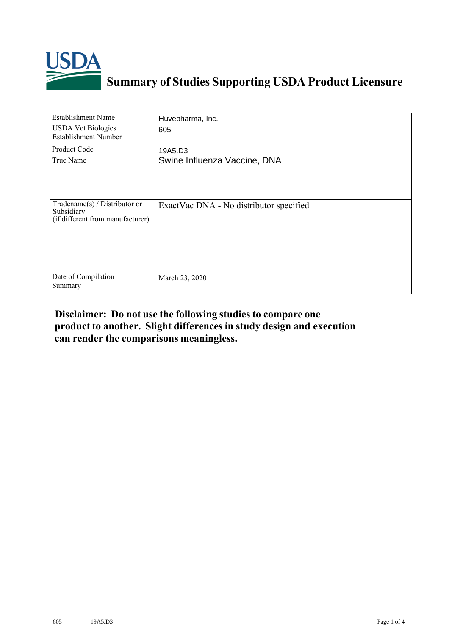

## **Summary of Studies Supporting USDA Product Licensure**

| <b>Establishment Name</b>                                                       | Huvepharma, Inc.                        |
|---------------------------------------------------------------------------------|-----------------------------------------|
| <b>USDA Vet Biologics</b><br><b>Establishment Number</b>                        | 605                                     |
| <b>Product Code</b>                                                             | 19A5.D3                                 |
| True Name                                                                       | Swine Influenza Vaccine, DNA            |
| Tradename(s) / Distributor or<br>Subsidiary<br>(if different from manufacturer) | ExactVac DNA - No distributor specified |
| Date of Compilation<br>Summary                                                  | March 23, 2020                          |

## **Disclaimer: Do not use the following studiesto compare one product to another. Slight differencesin study design and execution can render the comparisons meaningless.**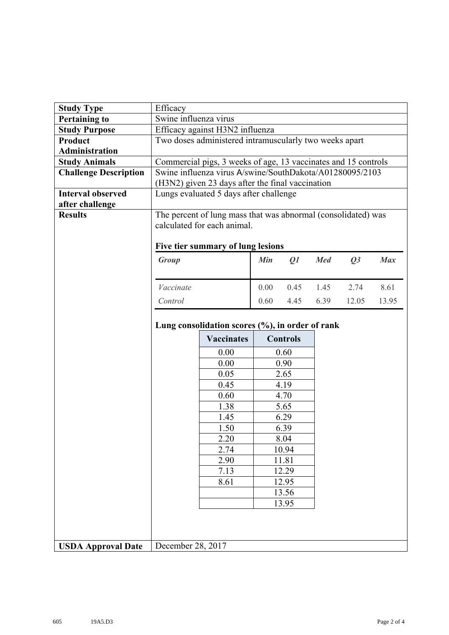| <b>Study Type</b>            | Efficacy                                                       |                       |      |                 |            |       |            |  |  |
|------------------------------|----------------------------------------------------------------|-----------------------|------|-----------------|------------|-------|------------|--|--|
| <b>Pertaining to</b>         |                                                                | Swine influenza virus |      |                 |            |       |            |  |  |
| <b>Study Purpose</b>         | Efficacy against H3N2 influenza                                |                       |      |                 |            |       |            |  |  |
| Product                      | Two doses administered intramuscularly two weeks apart         |                       |      |                 |            |       |            |  |  |
| <b>Administration</b>        |                                                                |                       |      |                 |            |       |            |  |  |
| <b>Study Animals</b>         | Commercial pigs, 3 weeks of age, 13 vaccinates and 15 controls |                       |      |                 |            |       |            |  |  |
| <b>Challenge Description</b> | Swine influenza virus A/swine/SouthDakota/A01280095/2103       |                       |      |                 |            |       |            |  |  |
|                              | (H3N2) given 23 days after the final vaccination               |                       |      |                 |            |       |            |  |  |
| <b>Interval observed</b>     | Lungs evaluated 5 days after challenge                         |                       |      |                 |            |       |            |  |  |
| after challenge              |                                                                |                       |      |                 |            |       |            |  |  |
| <b>Results</b>               | The percent of lung mass that was abnormal (consolidated) was  |                       |      |                 |            |       |            |  |  |
|                              | calculated for each animal.                                    |                       |      |                 |            |       |            |  |  |
|                              |                                                                |                       |      |                 |            |       |            |  |  |
|                              | Five tier summary of lung lesions<br>Min<br>Group<br>Q1        |                       |      |                 | <b>Med</b> | Q3    | <b>Max</b> |  |  |
|                              |                                                                |                       |      |                 |            |       |            |  |  |
|                              | Vaccinate                                                      |                       | 0.00 | 0.45            | 1.45       | 2.74  | 8.61       |  |  |
|                              | Control                                                        |                       | 0.60 | 4.45            | 6.39       | 12.05 | 13.95      |  |  |
|                              |                                                                |                       |      |                 |            |       |            |  |  |
|                              | Lung consolidation scores (%), in order of rank                |                       |      |                 |            |       |            |  |  |
|                              |                                                                | <b>Vaccinates</b>     |      | <b>Controls</b> |            |       |            |  |  |
|                              |                                                                | 0.00                  | 0.60 |                 |            |       |            |  |  |
|                              |                                                                | 0.00                  | 0.90 |                 |            |       |            |  |  |
|                              |                                                                | 0.05                  |      | 2.65            |            |       |            |  |  |
|                              |                                                                | 0.45                  | 4.19 |                 |            |       |            |  |  |
|                              |                                                                | 0.60                  | 4.70 |                 |            |       |            |  |  |
|                              |                                                                | 1.38                  | 5.65 |                 |            |       |            |  |  |
|                              |                                                                | 1.45                  | 6.29 |                 |            |       |            |  |  |
|                              |                                                                | 1.50                  | 6.39 |                 |            |       |            |  |  |
|                              |                                                                | 2.20                  |      | 8.04            |            |       |            |  |  |
|                              |                                                                | 2.74                  |      | 10.94           |            |       |            |  |  |
|                              |                                                                | 2.90                  |      | 11.81           |            |       |            |  |  |
|                              |                                                                | 7.13                  |      | 12.29           |            |       |            |  |  |
|                              |                                                                | 8.61                  |      | 12.95           |            |       |            |  |  |
|                              |                                                                |                       |      | 13.56           |            |       |            |  |  |
|                              |                                                                | 13.95                 |      |                 |            |       |            |  |  |
|                              |                                                                |                       |      |                 |            |       |            |  |  |
|                              |                                                                |                       |      |                 |            |       |            |  |  |
|                              |                                                                |                       |      |                 |            |       |            |  |  |
| <b>USDA Approval Date</b>    | December 28, 2017                                              |                       |      |                 |            |       |            |  |  |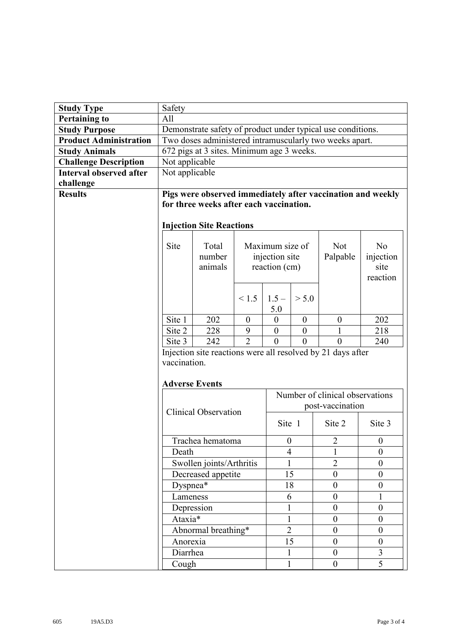| <b>Study Type</b>              | Safety                                                                                                 |                                           |                |                  |                  |                  |                  |  |  |
|--------------------------------|--------------------------------------------------------------------------------------------------------|-------------------------------------------|----------------|------------------|------------------|------------------|------------------|--|--|
| <b>Pertaining to</b>           | All                                                                                                    |                                           |                |                  |                  |                  |                  |  |  |
| <b>Study Purpose</b>           | Demonstrate safety of product under typical use conditions.                                            |                                           |                |                  |                  |                  |                  |  |  |
| <b>Product Administration</b>  | Two doses administered intramuscularly two weeks apart.                                                |                                           |                |                  |                  |                  |                  |  |  |
| <b>Study Animals</b>           |                                                                                                        | 672 pigs at 3 sites. Minimum age 3 weeks. |                |                  |                  |                  |                  |  |  |
| <b>Challenge Description</b>   | Not applicable                                                                                         |                                           |                |                  |                  |                  |                  |  |  |
| <b>Interval observed after</b> | Not applicable                                                                                         |                                           |                |                  |                  |                  |                  |  |  |
| challenge                      |                                                                                                        |                                           |                |                  |                  |                  |                  |  |  |
| <b>Results</b>                 | Pigs were observed immediately after vaccination and weekly<br>for three weeks after each vaccination. |                                           |                |                  |                  |                  |                  |  |  |
|                                |                                                                                                        |                                           |                |                  |                  |                  |                  |  |  |
|                                | <b>Injection Site Reactions</b>                                                                        |                                           |                |                  |                  |                  |                  |  |  |
|                                | Site                                                                                                   | Total                                     |                | Maximum size of  |                  | Not              | N <sub>o</sub>   |  |  |
|                                |                                                                                                        | number                                    | injection site |                  |                  | Palpable         | injection        |  |  |
|                                |                                                                                                        | animals                                   |                | reaction (cm)    |                  |                  | site             |  |  |
|                                |                                                                                                        |                                           |                |                  |                  |                  | reaction         |  |  |
|                                |                                                                                                        |                                           |                |                  |                  |                  |                  |  |  |
|                                |                                                                                                        |                                           | < 1.5          | $1.5 -$          | > 5.0            |                  |                  |  |  |
|                                |                                                                                                        |                                           |                | 5.0              |                  |                  |                  |  |  |
|                                | Site 1                                                                                                 | 202                                       | $\overline{0}$ | $\boldsymbol{0}$ | $\boldsymbol{0}$ | $\boldsymbol{0}$ | 202              |  |  |
|                                | Site 2                                                                                                 | 228                                       | 9              | $\mathbf{0}$     | $\overline{0}$   | $\mathbf{1}$     | 218              |  |  |
|                                | Site 3                                                                                                 | 242                                       | $\overline{2}$ | $\theta$         | $\theta$         | $\theta$         | 240              |  |  |
|                                | Injection site reactions were all resolved by 21 days after                                            |                                           |                |                  |                  |                  |                  |  |  |
|                                | vaccination.                                                                                           |                                           |                |                  |                  |                  |                  |  |  |
|                                | <b>Adverse Events</b>                                                                                  |                                           |                |                  |                  |                  |                  |  |  |
|                                | Number of clinical observations                                                                        |                                           |                |                  |                  |                  |                  |  |  |
|                                |                                                                                                        |                                           |                | post-vaccination |                  |                  |                  |  |  |
|                                | <b>Clinical Observation</b><br>Site 1<br>Site 2<br>Site 3                                              |                                           |                |                  |                  |                  |                  |  |  |
|                                | Trachea hematoma<br>$\overline{c}$<br>$\boldsymbol{0}$                                                 |                                           |                |                  |                  | $\boldsymbol{0}$ |                  |  |  |
|                                | Death                                                                                                  |                                           |                | $\overline{4}$   |                  |                  | $\overline{0}$   |  |  |
|                                | Swollen joints/Arthritis                                                                               |                                           |                | 1                |                  | $\overline{2}$   | $\boldsymbol{0}$ |  |  |
|                                | Decreased appetite                                                                                     |                                           | 15             |                  | $\boldsymbol{0}$ | $\overline{0}$   |                  |  |  |
|                                | Dyspnea*                                                                                               |                                           | 18             |                  | $\boldsymbol{0}$ | $\boldsymbol{0}$ |                  |  |  |
|                                | Lameness                                                                                               |                                           | 6              |                  | $\boldsymbol{0}$ | 1                |                  |  |  |
|                                | Depression                                                                                             |                                           | 1              |                  | $\boldsymbol{0}$ | $\boldsymbol{0}$ |                  |  |  |
|                                | Ataxia*                                                                                                |                                           | 1              |                  | $\boldsymbol{0}$ | $\boldsymbol{0}$ |                  |  |  |
|                                | Abnormal breathing*                                                                                    |                                           | $\overline{2}$ |                  | $\boldsymbol{0}$ | $\overline{0}$   |                  |  |  |
|                                | Anorexia                                                                                               |                                           |                | 15               |                  | $\boldsymbol{0}$ | $\boldsymbol{0}$ |  |  |
|                                | 3<br>Diarrhea<br>$\boldsymbol{0}$<br>1                                                                 |                                           |                |                  |                  |                  |                  |  |  |
|                                | Cough                                                                                                  |                                           |                | $\mathbf{1}$     |                  | $\overline{0}$   | $\overline{5}$   |  |  |